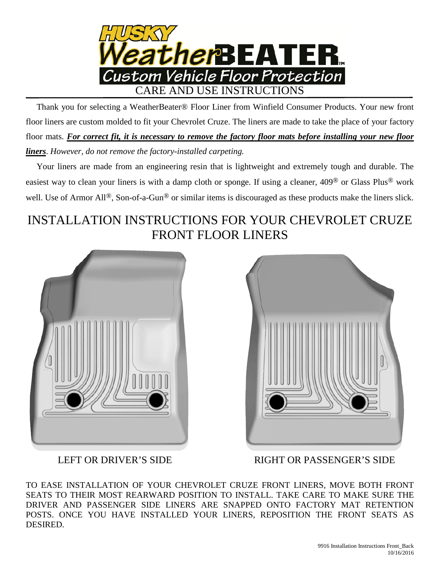

 Thank you for selecting a WeatherBeater® Floor Liner from Winfield Consumer Products. Your new front floor liners are custom molded to fit your Chevrolet Cruze. The liners are made to take the place of your factory floor mats. *For correct fit, it is necessary to remove the factory floor mats before installing your new floor liners*. *However, do not remove the factory-installed carpeting.*

 Your liners are made from an engineering resin that is lightweight and extremely tough and durable. The easiest way to clean your liners is with a damp cloth or sponge. If using a cleaner, 409® or Glass Plus® work well. Use of Armor All<sup>®</sup>, Son-of-a-Gun<sup>®</sup> or similar items is discouraged as these products make the liners slick.

## INSTALLATION INSTRUCTIONS FOR YOUR CHEVROLET CRUZE FRONT FLOOR LINERS





LEFT OR DRIVER'S SIDE RIGHT OR PASSENGER'S SIDE

TO EASE INSTALLATION OF YOUR CHEVROLET CRUZE FRONT LINERS, MOVE BOTH FRONT SEATS TO THEIR MOST REARWARD POSITION TO INSTALL. TAKE CARE TO MAKE SURE THE DRIVER AND PASSENGER SIDE LINERS ARE SNAPPED ONTO FACTORY MAT RETENTION POSTS. ONCE YOU HAVE INSTALLED YOUR LINERS, REPOSITION THE FRONT SEATS AS DESIRED.